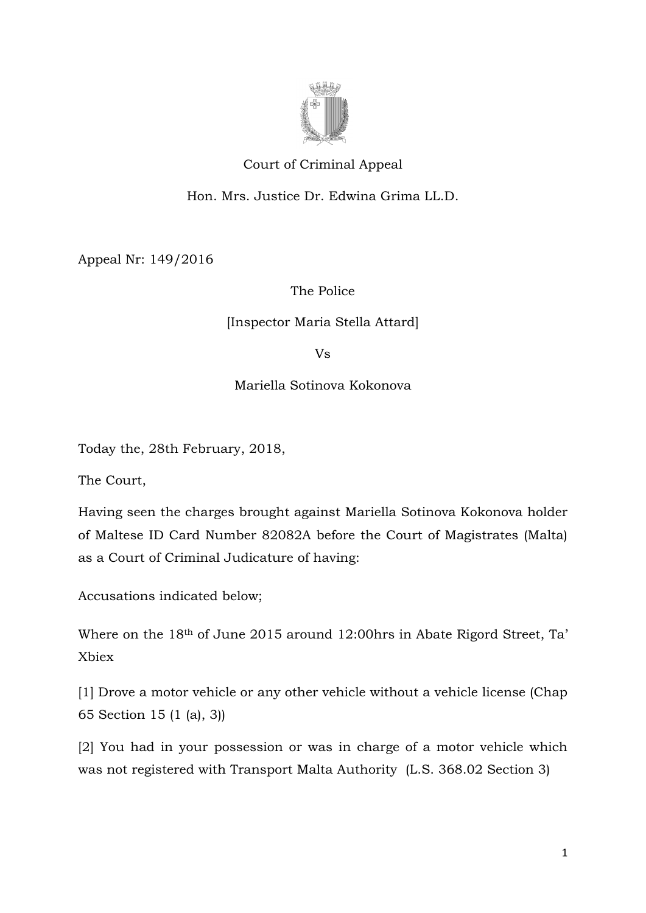

# Court of Criminal Appeal

## Hon. Mrs. Justice Dr. Edwina Grima LL.D.

Appeal Nr: 149/2016

### The Police

### [Inspector Maria Stella Attard]

Vs

Mariella Sotinova Kokonova

Today the, 28th February, 2018,

The Court,

Having seen the charges brought against Mariella Sotinova Kokonova holder of Maltese ID Card Number 82082A before the Court of Magistrates (Malta) as a Court of Criminal Judicature of having:

Accusations indicated below;

Where on the 18th of June 2015 around 12:00hrs in Abate Rigord Street, Ta' Xbiex

[1] Drove a motor vehicle or any other vehicle without a vehicle license (Chap 65 Section 15 (1 (a), 3))

[2] You had in your possession or was in charge of a motor vehicle which was not registered with Transport Malta Authority (L.S. 368.02 Section 3)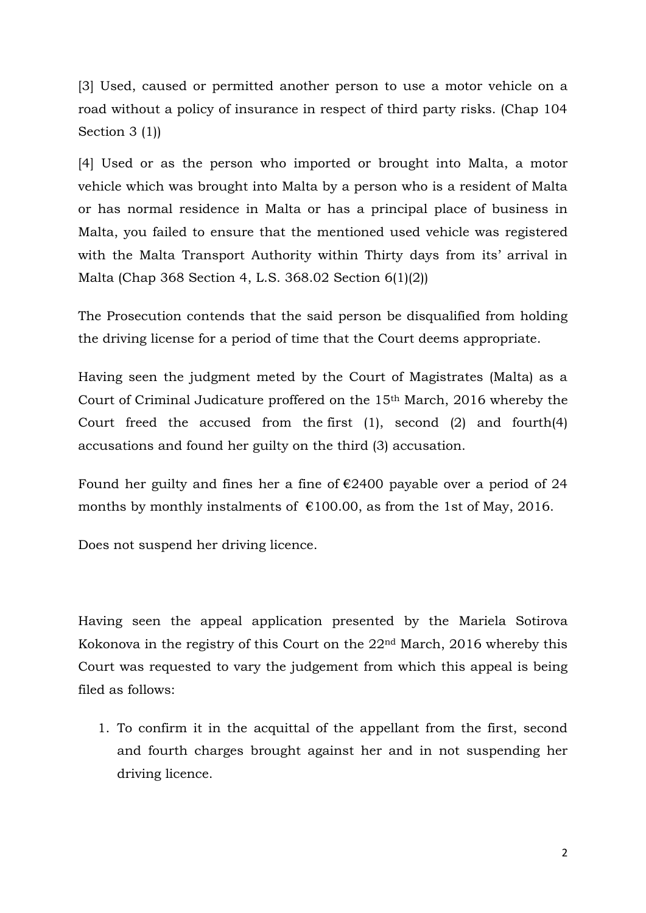[3] Used, caused or permitted another person to use a motor vehicle on a road without a policy of insurance in respect of third party risks. (Chap 104 Section 3 (1))

[4] Used or as the person who imported or brought into Malta, a motor vehicle which was brought into Malta by a person who is a resident of Malta or has normal residence in Malta or has a principal place of business in Malta, you failed to ensure that the mentioned used vehicle was registered with the Malta Transport Authority within Thirty days from its' arrival in Malta (Chap 368 Section 4, L.S. 368.02 Section 6(1)(2))

The Prosecution contends that the said person be disqualified from holding the driving license for a period of time that the Court deems appropriate.

Having seen the judgment meted by the Court of Magistrates (Malta) as a Court of Criminal Judicature proffered on the 15th March, 2016 whereby the Court freed the accused from the first (1), second (2) and fourth(4) accusations and found her guilty on the third (3) accusation.

Found her guilty and fines her a fine of  $\epsilon$ 2400 payable over a period of 24 months by monthly instalments of  $\epsilon$ 100.00, as from the 1st of May, 2016.

Does not suspend her driving licence.

Having seen the appeal application presented by the Mariela Sotirova Kokonova in the registry of this Court on the 22nd March, 2016 whereby this Court was requested to vary the judgement from which this appeal is being filed as follows:

1. To confirm it in the acquittal of the appellant from the first, second and fourth charges brought against her and in not suspending her driving licence.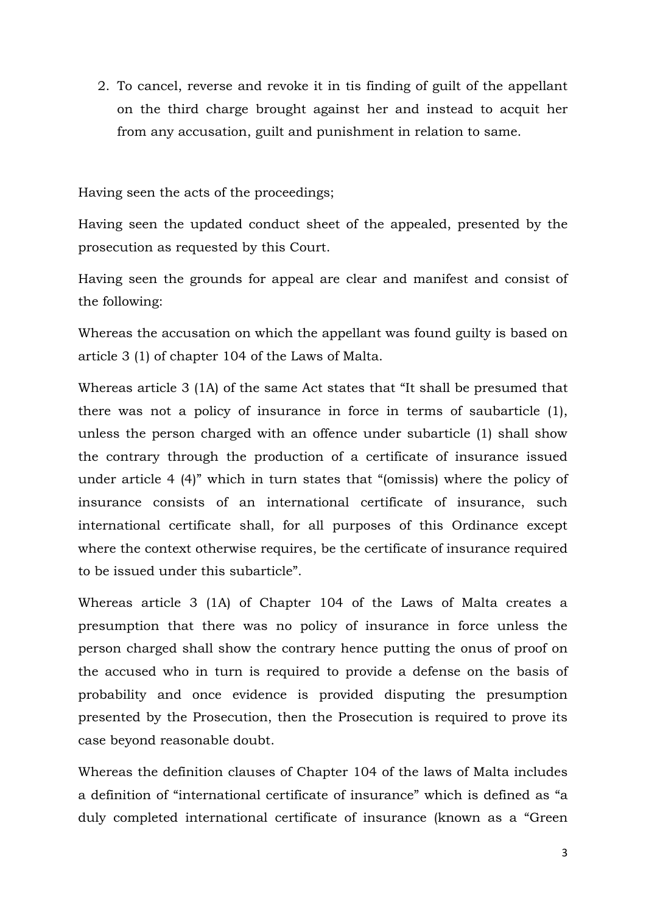2. To cancel, reverse and revoke it in tis finding of guilt of the appellant on the third charge brought against her and instead to acquit her from any accusation, guilt and punishment in relation to same.

Having seen the acts of the proceedings;

Having seen the updated conduct sheet of the appealed, presented by the prosecution as requested by this Court.

Having seen the grounds for appeal are clear and manifest and consist of the following:

Whereas the accusation on which the appellant was found guilty is based on article 3 (1) of chapter 104 of the Laws of Malta.

Whereas article 3 (1A) of the same Act states that "It shall be presumed that there was not a policy of insurance in force in terms of saubarticle (1), unless the person charged with an offence under subarticle (1) shall show the contrary through the production of a certificate of insurance issued under article 4 (4)" which in turn states that "(omissis) where the policy of insurance consists of an international certificate of insurance, such international certificate shall, for all purposes of this Ordinance except where the context otherwise requires, be the certificate of insurance required to be issued under this subarticle".

Whereas article 3 (1A) of Chapter 104 of the Laws of Malta creates a presumption that there was no policy of insurance in force unless the person charged shall show the contrary hence putting the onus of proof on the accused who in turn is required to provide a defense on the basis of probability and once evidence is provided disputing the presumption presented by the Prosecution, then the Prosecution is required to prove its case beyond reasonable doubt.

Whereas the definition clauses of Chapter 104 of the laws of Malta includes a definition of "international certificate of insurance" which is defined as "a duly completed international certificate of insurance (known as a "Green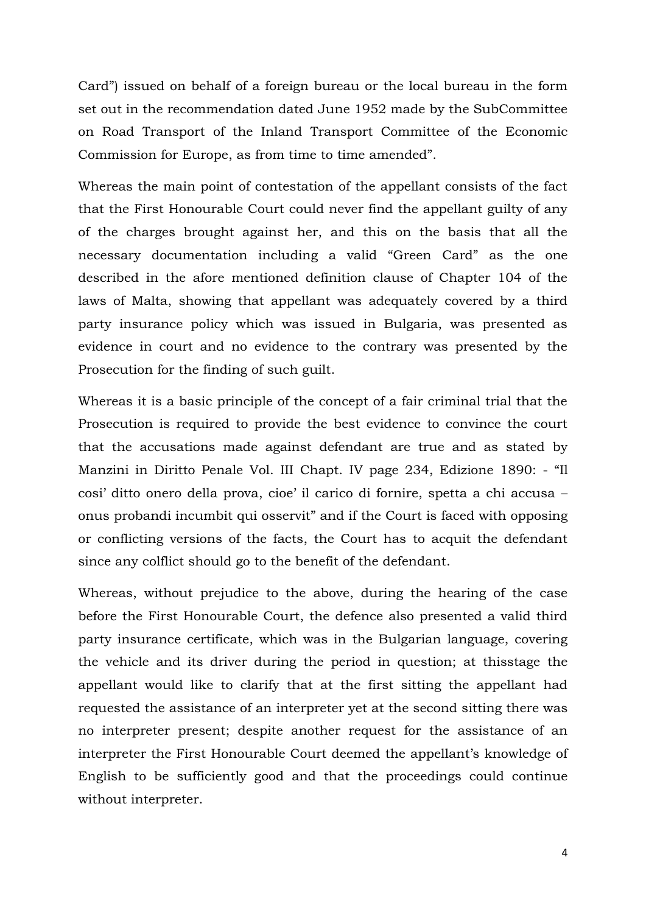Card") issued on behalf of a foreign bureau or the local bureau in the form set out in the recommendation dated June 1952 made by the SubCommittee on Road Transport of the Inland Transport Committee of the Economic Commission for Europe, as from time to time amended".

Whereas the main point of contestation of the appellant consists of the fact that the First Honourable Court could never find the appellant guilty of any of the charges brought against her, and this on the basis that all the necessary documentation including a valid "Green Card" as the one described in the afore mentioned definition clause of Chapter 104 of the laws of Malta, showing that appellant was adequately covered by a third party insurance policy which was issued in Bulgaria, was presented as evidence in court and no evidence to the contrary was presented by the Prosecution for the finding of such guilt.

Whereas it is a basic principle of the concept of a fair criminal trial that the Prosecution is required to provide the best evidence to convince the court that the accusations made against defendant are true and as stated by Manzini in Diritto Penale Vol. III Chapt. IV page 234, Edizione 1890: - "Il cosi' ditto onero della prova, cioe' il carico di fornire, spetta a chi accusa – onus probandi incumbit qui osservit" and if the Court is faced with opposing or conflicting versions of the facts, the Court has to acquit the defendant since any colflict should go to the benefit of the defendant.

Whereas, without prejudice to the above, during the hearing of the case before the First Honourable Court, the defence also presented a valid third party insurance certificate, which was in the Bulgarian language, covering the vehicle and its driver during the period in question; at thisstage the appellant would like to clarify that at the first sitting the appellant had requested the assistance of an interpreter yet at the second sitting there was no interpreter present; despite another request for the assistance of an interpreter the First Honourable Court deemed the appellant's knowledge of English to be sufficiently good and that the proceedings could continue without interpreter.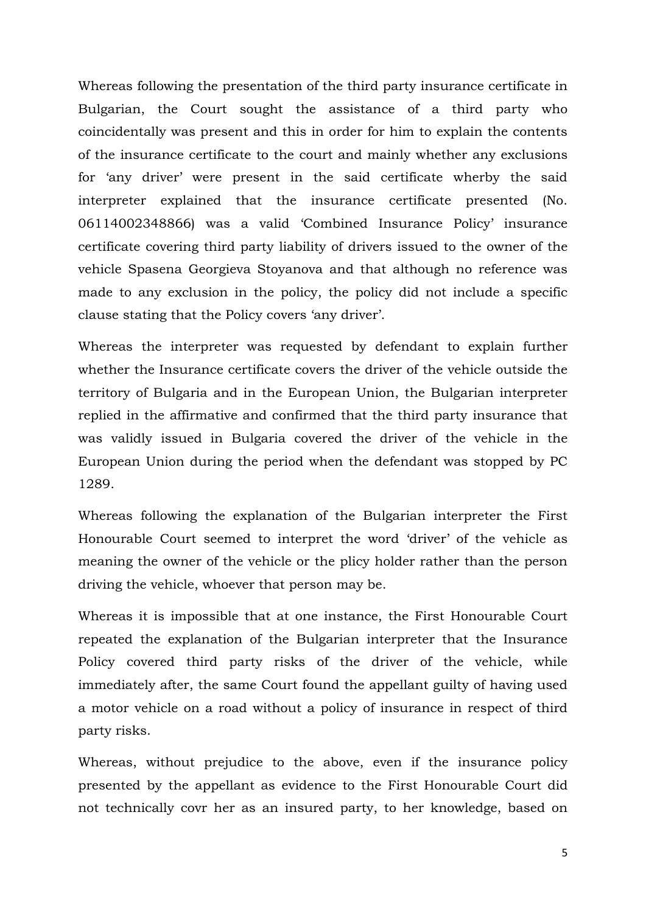Whereas following the presentation of the third party insurance certificate in Bulgarian, the Court sought the assistance of a third party who coincidentally was present and this in order for him to explain the contents of the insurance certificate to the court and mainly whether any exclusions for 'any driver' were present in the said certificate wherby the said interpreter explained that the insurance certificate presented (No. 06114002348866) was a valid 'Combined Insurance Policy' insurance certificate covering third party liability of drivers issued to the owner of the vehicle Spasena Georgieva Stoyanova and that although no reference was made to any exclusion in the policy, the policy did not include a specific clause stating that the Policy covers 'any driver'.

Whereas the interpreter was requested by defendant to explain further whether the Insurance certificate covers the driver of the vehicle outside the territory of Bulgaria and in the European Union, the Bulgarian interpreter replied in the affirmative and confirmed that the third party insurance that was validly issued in Bulgaria covered the driver of the vehicle in the European Union during the period when the defendant was stopped by PC 1289.

Whereas following the explanation of the Bulgarian interpreter the First Honourable Court seemed to interpret the word 'driver' of the vehicle as meaning the owner of the vehicle or the plicy holder rather than the person driving the vehicle, whoever that person may be.

Whereas it is impossible that at one instance, the First Honourable Court repeated the explanation of the Bulgarian interpreter that the Insurance Policy covered third party risks of the driver of the vehicle, while immediately after, the same Court found the appellant guilty of having used a motor vehicle on a road without a policy of insurance in respect of third party risks.

Whereas, without prejudice to the above, even if the insurance policy presented by the appellant as evidence to the First Honourable Court did not technically covr her as an insured party, to her knowledge, based on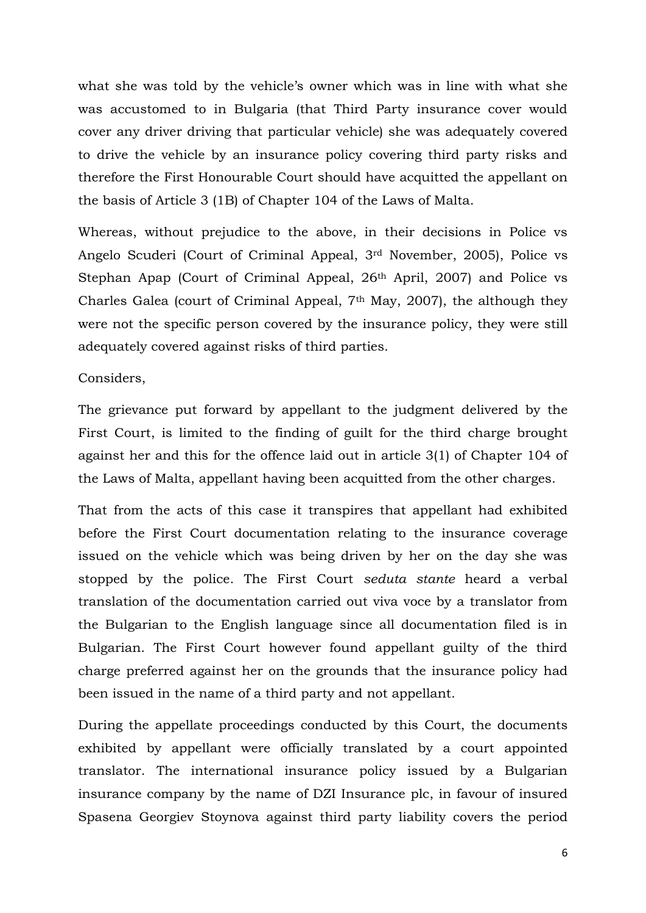what she was told by the vehicle's owner which was in line with what she was accustomed to in Bulgaria (that Third Party insurance cover would cover any driver driving that particular vehicle) she was adequately covered to drive the vehicle by an insurance policy covering third party risks and therefore the First Honourable Court should have acquitted the appellant on the basis of Article 3 (1B) of Chapter 104 of the Laws of Malta.

Whereas, without prejudice to the above, in their decisions in Police vs Angelo Scuderi (Court of Criminal Appeal, 3rd November, 2005), Police vs Stephan Apap (Court of Criminal Appeal, 26<sup>th</sup> April, 2007) and Police vs Charles Galea (court of Criminal Appeal, 7th May, 2007), the although they were not the specific person covered by the insurance policy, they were still adequately covered against risks of third parties.

#### Considers,

The grievance put forward by appellant to the judgment delivered by the First Court, is limited to the finding of guilt for the third charge brought against her and this for the offence laid out in article 3(1) of Chapter 104 of the Laws of Malta, appellant having been acquitted from the other charges.

That from the acts of this case it transpires that appellant had exhibited before the First Court documentation relating to the insurance coverage issued on the vehicle which was being driven by her on the day she was stopped by the police. The First Court *seduta stante* heard a verbal translation of the documentation carried out viva voce by a translator from the Bulgarian to the English language since all documentation filed is in Bulgarian. The First Court however found appellant guilty of the third charge preferred against her on the grounds that the insurance policy had been issued in the name of a third party and not appellant.

During the appellate proceedings conducted by this Court, the documents exhibited by appellant were officially translated by a court appointed translator. The international insurance policy issued by a Bulgarian insurance company by the name of DZI Insurance plc, in favour of insured Spasena Georgiev Stoynova against third party liability covers the period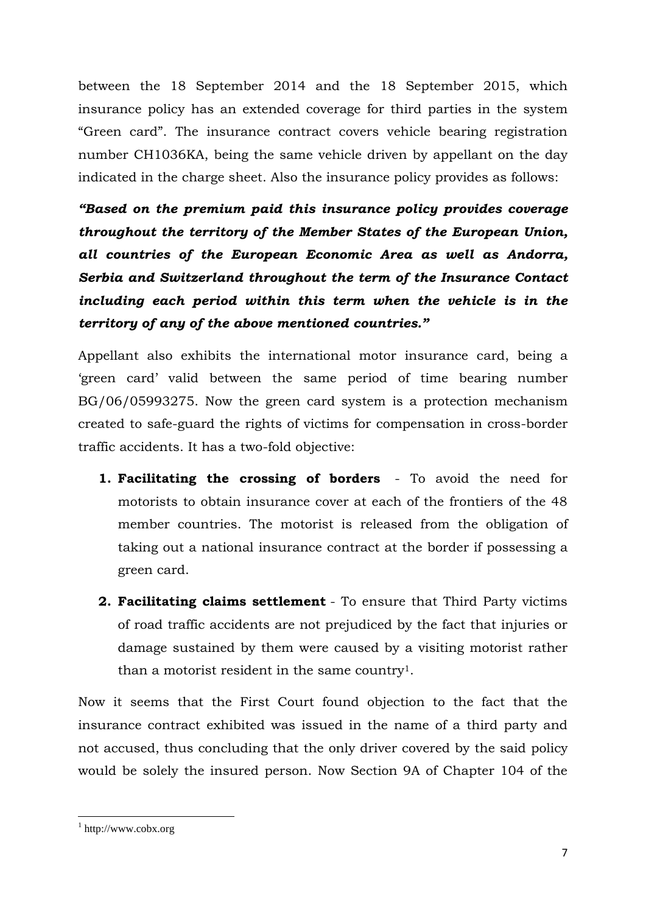between the 18 September 2014 and the 18 September 2015, which insurance policy has an extended coverage for third parties in the system "Green card". The insurance contract covers vehicle bearing registration number CH1036KA, being the same vehicle driven by appellant on the day indicated in the charge sheet. Also the insurance policy provides as follows:

*"Based on the premium paid this insurance policy provides coverage throughout the territory of the Member States of the European Union, all countries of the European Economic Area as well as Andorra, Serbia and Switzerland throughout the term of the Insurance Contact including each period within this term when the vehicle is in the territory of any of the above mentioned countries."* 

Appellant also exhibits the international motor insurance card, being a 'green card' valid between the same period of time bearing number BG/06/05993275. Now the green card system is a protection mechanism created to safe-guard the rights of victims for compensation in cross-border traffic accidents. It has a two-fold objective:

- **1. Facilitating the crossing of borders** To avoid the need for motorists to obtain insurance cover at each of the frontiers of the 48 member countries. The motorist is released from the obligation of taking out a national insurance contract at the border if possessing a green card.
- **2. Facilitating claims settlement** To ensure that Third Party victims of road traffic accidents are not prejudiced by the fact that injuries or damage sustained by them were caused by a visiting motorist rather than a motorist resident in the same country1.

Now it seems that the First Court found objection to the fact that the insurance contract exhibited was issued in the name of a third party and not accused, thus concluding that the only driver covered by the said policy would be solely the insured person. Now Section 9A of Chapter 104 of the

**.** 

<sup>1</sup> http://www.cobx.org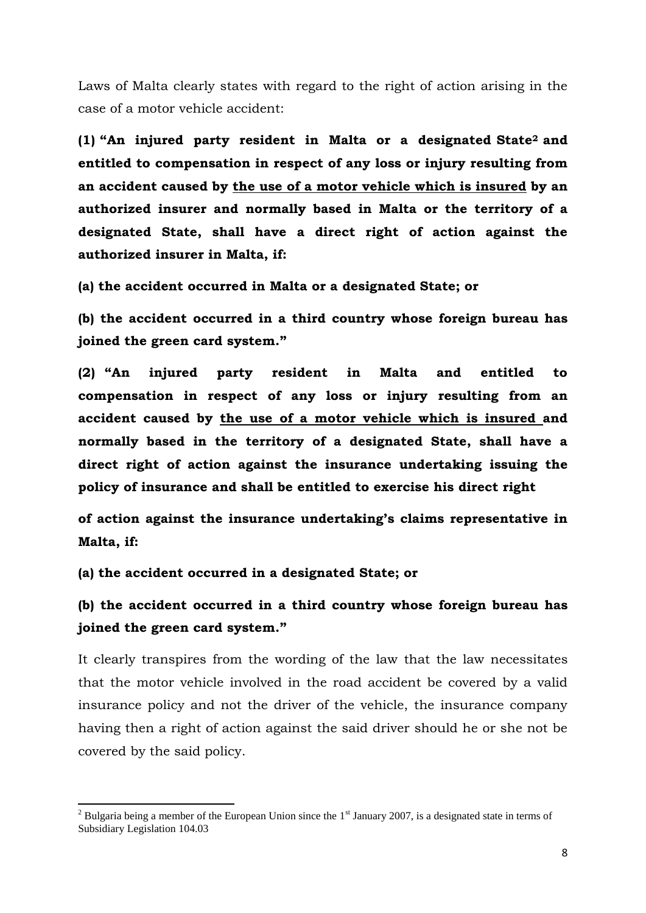Laws of Malta clearly states with regard to the right of action arising in the case of a motor vehicle accident:

**(1) "An injured party resident in Malta or a designated State<sup>2</sup> and entitled to compensation in respect of any loss or injury resulting from an accident caused by the use of a motor vehicle which is insured by an authorized insurer and normally based in Malta or the territory of a designated State, shall have a direct right of action against the authorized insurer in Malta, if:**

**(a) the accident occurred in Malta or a designated State; or**

**(b) the accident occurred in a third country whose foreign bureau has joined the green card system."**

**(2) "An injured party resident in Malta and entitled to compensation in respect of any loss or injury resulting from an accident caused by the use of a motor vehicle which is insured and normally based in the territory of a designated State, shall have a direct right of action against the insurance undertaking issuing the policy of insurance and shall be entitled to exercise his direct right**

**of action against the insurance undertaking's claims representative in Malta, if:**

**(a) the accident occurred in a designated State; or**

**.** 

**(b) the accident occurred in a third country whose foreign bureau has joined the green card system."**

It clearly transpires from the wording of the law that the law necessitates that the motor vehicle involved in the road accident be covered by a valid insurance policy and not the driver of the vehicle, the insurance company having then a right of action against the said driver should he or she not be covered by the said policy.

<sup>&</sup>lt;sup>2</sup> Bulgaria being a member of the European Union since the  $1<sup>st</sup>$  January 2007, is a designated state in terms of Subsidiary Legislation 104.03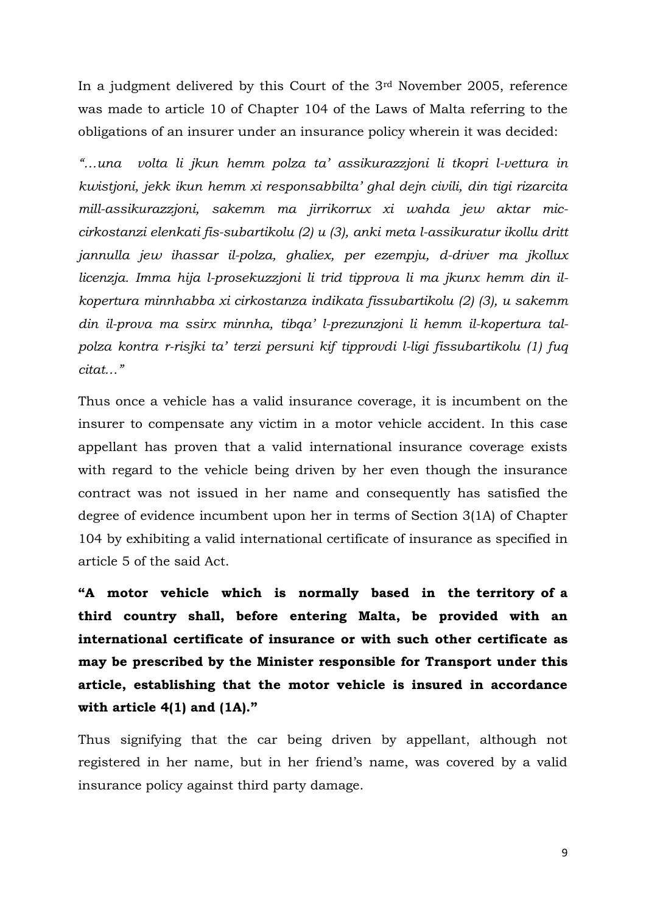In a judgment delivered by this Court of the 3rd November 2005, reference was made to article 10 of Chapter 104 of the Laws of Malta referring to the obligations of an insurer under an insurance policy wherein it was decided:

*"…una volta li jkun hemm polza ta' assikurazzjoni li tkopri l-vettura in kwistjoni, jekk ikun hemm xi responsabbilta' ghal dejn civili, din tigi rizarcita mill-assikurazzjoni, sakemm ma jirrikorrux xi wahda jew aktar miccirkostanzi elenkati fis-subartikolu (2) u (3), anki meta l-assikuratur ikollu dritt jannulla jew ihassar il-polza, ghaliex, per ezempju, d-driver ma jkollux licenzja. Imma hija l-prosekuzzjoni li trid tipprova li ma jkunx hemm din ilkopertura minnhabba xi cirkostanza indikata fissubartikolu (2) (3), u sakemm din il-prova ma ssirx minnha, tibqa' l-prezunzjoni li hemm il-kopertura talpolza kontra r-risjki ta' terzi persuni kif tipprovdi l-ligi fissubartikolu (1) fuq citat…"*

Thus once a vehicle has a valid insurance coverage, it is incumbent on the insurer to compensate any victim in a motor vehicle accident. In this case appellant has proven that a valid international insurance coverage exists with regard to the vehicle being driven by her even though the insurance contract was not issued in her name and consequently has satisfied the degree of evidence incumbent upon her in terms of Section 3(1A) of Chapter 104 by exhibiting a valid international certificate of insurance as specified in article 5 of the said Act.

**"A motor vehicle which is normally based in the territory of a third country shall, before entering Malta, be provided with an international certificate of insurance or with such other certificate as may be prescribed by the Minister responsible for Transport under this article, establishing that the motor vehicle is insured in accordance with article 4(1) and (1A)."**

Thus signifying that the car being driven by appellant, although not registered in her name, but in her friend's name, was covered by a valid insurance policy against third party damage.